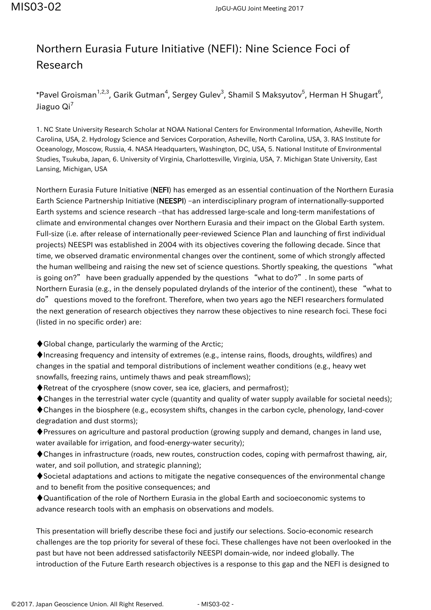## Northern Eurasia Future Initiative (NEFI): Nine Science Foci of Research

\*Pavel Groisman $^{1,2,3}$ , Garik Gutman $^4$ , Sergey Gulev $^3$ , Shamil S Maksyutov $^5$ , Herman H Shugart $^6$ , Jiaguo  $\text{Qi}^7$ 

1. NC State University Research Scholar at NOAA National Centers for Environmental Information, Asheville, North Carolina, USA, 2. Hydrology Science and Services Corporation, Asheville, North Carolina, USA, 3. RAS Institute for Oceanology, Moscow, Russia, 4. NASA Headquarters, Washington, DC, USA, 5. National Institute of Environmental Studies, Tsukuba, Japan, 6. University of Virginia, Charlottesville, Virginia, USA, 7. Michigan State University, East Lansing, Michigan, USA

Northern Eurasia Future Initiative (NEFI) has emerged as an essential continuation of the Northern Eurasia Earth Science Partnership Initiative (NEESPI) –an interdisciplinary program of internationally-supported Earth systems and science research –that has addressed large-scale and long-term manifestations of climate and environmental changes over Northern Eurasia and their impact on the Global Earth system. Full-size (i.e. after release of internationally peer-reviewed Science Plan and launching of first individual projects) NEESPI was established in 2004 with its objectives covering the following decade. Since that time, we observed dramatic environmental changes over the continent, some of which strongly affected the human wellbeing and raising the new set of science questions. Shortly speaking, the questions "what is going on?" have been gradually appended by the questions "what to do?". In some parts of Northern Eurasia (e.g., in the densely populated drylands of the interior of the continent), these "what to do" questions moved to the forefront. Therefore, when two years ago the NEFI researchers formulated the next generation of research objectives they narrow these objectives to nine research foci. These foci (listed in no specific order) are:

♦Global change, particularly the warming of the Arctic;

 $\blacklozenge$  Increasing frequency and intensity of extremes (e.g., intense rains, floods, droughts, wildfires) and changes in the spatial and temporal distributions of inclement weather conditions (e.g., heavy wet snowfalls, freezing rains, untimely thaws and peak streamflows);

♦Retreat of the cryosphere (snow cover, sea ice, glaciers, and permafrost);

♦Changes in the terrestrial water cycle (quantity and quality of water supply available for societal needs);

♦Changes in the biosphere (e.g., ecosystem shifts, changes in the carbon cycle, phenology, land-cover degradation and dust storms);

♦Pressures on agriculture and pastoral production (growing supply and demand, changes in land use, water available for irrigation, and food-energy-water security);

♦Changes in infrastructure (roads, new routes, construction codes, coping with permafrost thawing, air, water, and soil pollution, and strategic planning);

♦Societal adaptations and actions to mitigate the negative consequences of the environmental change and to benefit from the positive consequences; and

♦Quantification of the role of Northern Eurasia in the global Earth and socioeconomic systems to advance research tools with an emphasis on observations and models.

This presentation will briefly describe these foci and justify our selections. Socio-economic research challenges are the top priority for several of these foci. These challenges have not been overlooked in the past but have not been addressed satisfactorily NEESPI domain-wide, nor indeed globally. The introduction of the Future Earth research objectives is a response to this gap and the NEFI is designed to